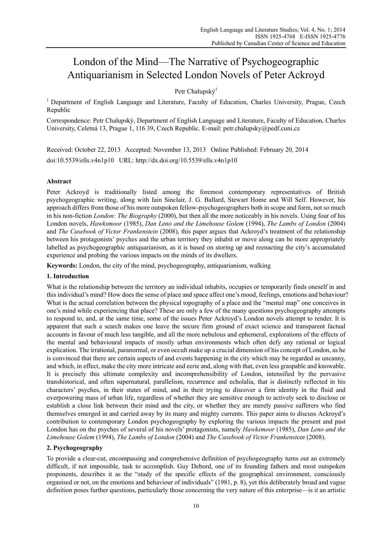# London of the Mind—The Narrative of Psychogeographic Antiquarianism in Selected London Novels of Peter Ackroyd

# Petr Chalupský<sup>1</sup>

1 Department of English Language and Literature, Faculty of Education, Charles University, Prague, Czech Republic

Correspondence: Petr Chalupský, Department of English Language and Literature, Faculty of Education, Charles University, Celetná 13, Prague 1, 116 39, Czech Republic. E-mail: petr.chalupsky@pedf.cuni.cz

Received: October 22, 2013 Accepted: November 13, 2013 Online Published: February 20, 2014 doi:10.5539/ells.v4n1p10 URL: http://dx.doi.org/10.5539/ells.v4n1p10

## **Abstract**

Peter Ackroyd is traditionally listed among the foremost contemporary representatives of British psychogeographic writing, along with Iain Sinclair, J. G. Ballard, Stewart Home and Will Self. However, his approach differs from those of his more outspoken fellow-psychogeographers both in scope and form, not so much in his non-fiction *London: The Biography* (2000), but then all the more noticeably in his novels. Using four of his London novels, *Hawksmoor* (1985), *Dan Leno and the Limehouse Golem* (1994), *The Lambs of London* (2004) and *The Casebook of Victor Frankenstein* (2008), this paper argues that Ackroyd's treatment of the relationship between his protagonists' psyches and the urban territory they inhabit or move along can be more appropriately labelled as psychogeographic antiquarianism, as it is based on storing up and reenacting the city's accumulated experience and probing the various impacts on the minds of its dwellers.

**Keywords:** London, the city of the mind, psychogeography, antiquarianism, walking

## **1. Introduction**

What is the relationship between the territory an individual inhabits, occupies or temporarily finds oneself in and this individual's mind? How does the sense of place and space affect one's mood, feelings, emotions and behaviour? What is the actual correlation between the physical topography of a place and the "mental map" one conceives in one's mind while experiencing that place? These are only a few of the many questions psychogeography attempts to respond to, and, at the same time, some of the issues Peter Ackroyd's London novels attempt to render. It is apparent that such a search makes one leave the secure firm ground of exact science and transparent factual accounts in favour of much less tangible, and all the more nebulous and ephemeral, explorations of the effects of the mental and behavioural impacts of mostly urban environments which often defy any rational or logical explication. The irrational, paranormal, or even occult make up a crucial dimension of his concept of London, as he is convinced that there are certain aspects of and events happening in the city which may be regarded as uncanny, and which, in effect, make the city more intricate and eerie and, along with that, even less graspable and knowable. It is precisely this ultimate complexity and incomprehensibility of London, intensified by the pervasive transhistorical, and often supernatural, parallelism, recurrence and echolalia, that is distinctly reflected in his characters' psyches, in their states of mind, and in their trying to discover a firm identity in the fluid and overpowering mass of urban life, regardless of whether they are sensitive enough to actively seek to disclose or establish a close link between their mind and the city, or whether they are merely passive sufferers who find themselves emerged in and carried away by its many and mighty currents. This paper aims to discuss Ackroyd's contribution to contemporary London psychogeography by exploring the various impacts the present and past London has on the psyches of several of his novels' protagonists, namely *Hawksmoor* (1985), *Dan Leno and the Limehouse Golem* (1994), *The Lambs of London* (2004) and *The Casebook of Victor Frankenstein* (2008).

# **2. Psychogeography**

To provide a clear-cut, encompassing and comprehensive definition of psychogeography turns out an extremely difficult, if not impossible, task to accomplish. Guy Debord, one of its founding fathers and most outspoken proponents, describes it as the "study of the specific effects of the geographical environment, consciously organised or not, on the emotions and behaviour of individuals" (1981, p. 8), yet this deliberately broad and vague definition poses further questions, particularly those concerning the very nature of this enterprise—is it an artistic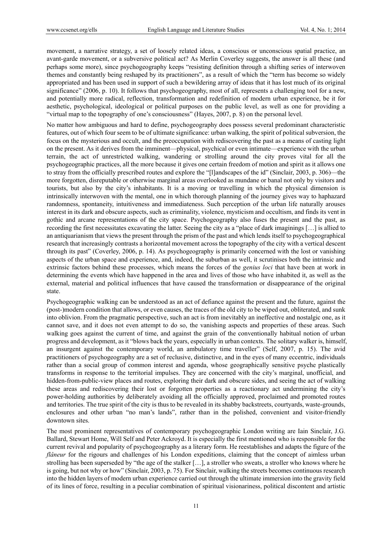movement, a narrative strategy, a set of loosely related ideas, a conscious or unconscious spatial practice, an avant-garde movement, or a subversive political act? As Merlin Coverley suggests, the answer is all these (and perhaps some more), since psychogeography keeps "resisting definition through a shifting series of interwoven themes and constantly being reshaped by its practitioners", as a result of which the "term has become so widely appropriated and has been used in support of such a bewildering array of ideas that it has lost much of its original significance" (2006, p. 10). It follows that psychogeography, most of all, represents a challenging tool for a new, and potentially more radical, reflection, transformation and redefinition of modern urban experience, be it for aesthetic, psychological, ideological or political purposes on the public level, as well as one for providing a "virtual map to the topography of one's consciousness" (Hayes, 2007, p. 8) on the personal level.

No matter how ambiguous and hard to define, psychogeography does possess several predominant characteristic features, out of which four seem to be of ultimate significance: urban walking, the spirit of political subversion, the focus on the mysterious and occult, and the preoccupation with rediscovering the past as a means of casting light on the present. As it derives from the imminent—physical, psychical or even intimate—experience with the urban terrain, the act of unrestricted walking, wandering or strolling around the city proves vital for all the psychogeographic practices, all the more because it gives one certain freedom of motion and spirit as it allows one to stray from the officially prescribed routes and explore the "[l]andscapes of the id" (Sinclair, 2003, p. 306)—the more forgotten, disreputable or otherwise marginal areas overlooked as mundane or banal not only by visitors and tourists, but also by the city's inhabitants. It is a moving or travelling in which the physical dimension is intrinsically interwoven with the mental, one in which thorough planning of the journey gives way to haphazard randomness, spontaneity, intuitiveness and immediateness. Such perception of the urban life naturally arouses interest in its dark and obscure aspects, such as criminality, violence, mysticism and occultism, and finds its vent in gothic and arcane representations of the city space. Psychogeography also fuses the present and the past, as recording the first necessitates excavating the latter. Seeing the city as a "place of dark imaginings […] is allied to an antiquarianism that views the present through the prism of the past and which lends itself to psychogeographical research that increasingly contrasts a horizontal movement across the topography of the city with a vertical descent through its past" (Coverley, 2006, p. 14). As psychogeography is primarily concerned with the lost or vanishing aspects of the urban space and experience, and, indeed, the suburban as well, it scrutinises both the intrinsic and extrinsic factors behind these processes, which means the forces of the *genius loci* that have been at work in determining the events which have happened in the area and lives of those who have inhabited it, as well as the external, material and political influences that have caused the transformation or disappearance of the original state.

Psychogeographic walking can be understood as an act of defiance against the present and the future, against the (post-)modern condition that allows, or even causes, the traces of the old city to be wiped out, obliterated, and sunk into oblivion. From the pragmatic perspective, such an act is from inevitably an ineffective and nostalgic one, as it cannot save, and it does not even attempt to do so, the vanishing aspects and properties of these areas. Such walking goes against the current of time, and against the grain of the conventionally habitual notion of urban progress and development, as it "blows back the years, especially in urban contexts. The solitary walker is, himself, an insurgent against the contemporary world, an ambulatory time traveller" (Self, 2007, p. 15). The avid practitioners of psychogeography are a set of reclusive, distinctive, and in the eyes of many eccentric, individuals rather than a social group of common interest and agenda, whose geographically sensitive psyche plastically transforms in response to the territorial impulses. They are concerned with the city's marginal, unofficial, and hidden-from-public-view places and routes, exploring their dark and obscure sides, and seeing the act of walking these areas and rediscovering their lost or forgotten properties as a reactionary act undermining the city's power-holding authorities by deliberately avoiding all the officially approved, proclaimed and promoted routes and territories. The true spirit of the city is thus to be revealed in its shabby backstreets, courtyards, waste-grounds, enclosures and other urban "no man's lands", rather than in the polished, convenient and visitor-friendly downtown sites.

The most prominent representatives of contemporary psychogeographic London writing are Iain Sinclair, J.G. Ballard, Stewart Home, Will Self and Peter Ackroyd. It is especially the first mentioned who is responsible for the current revival and popularity of psychogeography as a literary form. He reestablishes and adapts the figure of the *flâneur* for the rigours and challenges of his London expeditions, claiming that the concept of aimless urban strolling has been superseded by "the age of the stalker […], a stroller who sweats, a stroller who knows where he is going, but not why or how" (Sinclair, 2003, p. 75). For Sinclair, walking the streets becomes continuous research into the hidden layers of modern urban experience carried out through the ultimate immersion into the gravity field of its lines of force, resulting in a peculiar combination of spiritual visionariness, political discontent and artistic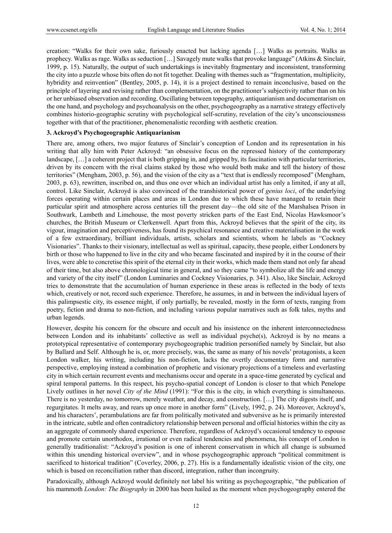creation: "Walks for their own sake, furiously enacted but lacking agenda […] Walks as portraits. Walks as prophecy. Walks as rage. Walks as seduction [...] Savagely mute walks that provoke language" (Atkins & Sinclair, 1999, p. 15). Naturally, the output of such undertakings is inevitably fragmentary and inconsistent, transforming the city into a puzzle whose bits often do not fit together. Dealing with themes such as "fragmentation, multiplicity, hybridity and reinvention" (Bentley, 2005, p. 14), it is a project destined to remain inconclusive, based on the principle of layering and revising rather than complementation, on the practitioner's subjectivity rather than on his or her unbiased observation and recording. Oscillating between topography, antiquarianism and documentarism on the one hand, and psychology and psychoanalysis on the other, psychogeography as a narrative strategy effectively combines historio-geographic scrutiny with psychological self-scrutiny, revelation of the city's unconsciousness together with that of the practitioner, phenomenalistic recording with aesthetic creation.

#### **3. Ackroyd's Psychogeographic Antiquarianism**

There are, among others, two major features of Sinclair's conception of London and its representation in his writing that ally him with Peter Ackroyd: "an obsessive focus on the repressed history of the contemporary landscape, […] a coherent project that is both gripping in, and gripped by, its fascination with particular territories, driven by its concern with the rival claims staked by those who would both make and tell the history of those territories" (Mengham, 2003, p. 56), and the vision of the city as a "text that is endlessly recomposed" (Mengham, 2003, p. 63), rewritten, inscribed on, and thus one over which an individual artist has only a limited, if any at all, control. Like Sinclair, Ackroyd is also convinced of the transhistorical power of *genius loci*, of the underlying forces operating within certain places and areas in London due to which these have managed to retain their particular spirit and atmosphere across centuries till the present day—the old site of the Marshalsea Prison in Southwark, Lambeth and Limehouse, the most poverty stricken parts of the East End, Nicolas Hawksmoor's churches, the British Museum or Clerkenwell. Apart from this, Ackroyd believes that the spirit of the city, its vigour, imagination and perceptiveness, has found its psychical resonance and creative materialisation in the work of a few extraordinary, brilliant individuals, artists, scholars and scientists, whom he labels as "Cockney Visionaries". Thanks to their visionary, intellectual as well as spiritual, capacity, these people, either Londoners by birth or those who happened to live in the city and who became fascinated and inspired by it in the course of their lives, were able to concretise this spirit of the eternal city in their works, which made them stand not only far ahead of their time, but also above chronological time in general, and so they came "to symbolize all the life and energy and variety of the city itself" (London Luminaries and Cockney Visionaries, p. 341). Also, like Sinclair, Ackroyd tries to demonstrate that the accumulation of human experience in these areas is reflected in the body of texts which, creatively or not, record such experience. Therefore, he assumes, in and in between the individual layers of this palimpsestic city, its essence might, if only partially, be revealed, mostly in the form of texts, ranging from poetry, fiction and drama to non-fiction, and including various popular narratives such as folk tales, myths and urban legends.

However, despite his concern for the obscure and occult and his insistence on the inherent interconnectedness between London and its inhabitants' collective as well as individual psyche(s), Ackroyd is by no means a prototypical representative of contemporary psychogeographic tradition personified namely by Sinclair, but also by Ballard and Self. Although he is, or, more precisely, was, the same as many of his novels' protagonists, a keen London walker, his writing, including his non-fiction, lacks the overtly documentary form and narrative perspective, employing instead a combination of prophetic and visionary projections of a timeless and everlasting city in which certain recurrent events and mechanisms occur and operate in a space-time generated by cyclical and spiral temporal patterns. In this respect, his psycho-spatial concept of London is closer to that which Penelope Lively outlines in her novel *City of the Mind* (1991): "For this is the city, in which everything is simultaneous. There is no yesterday, no tomorrow, merely weather, and decay, and construction. […] The city digests itself, and regurgitates. It melts away, and rears up once more in another form" (Lively, 1992, p. 24). Moreover, Ackroyd's, and his characters', perambulations are far from politically motivated and subversive as he is primarily interested in the intricate, subtle and often contradictory relationship between personal and official histories within the city as an aggregate of commonly shared experience. Therefore, regardless of Ackroyd's occasional tendency to espouse and promote certain unorthodox, irrational or even radical tendencies and phenomena, his concept of London is generally traditionalist: "Ackroyd's position is one of inherent conservatism in which all change is subsumed within this unending historical overview", and in whose psychogeographic approach "political commitment is sacrificed to historical tradition" (Coverley, 2006, p. 27). His is a fundamentally idealistic vision of the city, one which is based on reconciliation rather than discord, integration, rather than incongruity.

Paradoxically, although Ackroyd would definitely not label his writing as psychogeographic, "the publication of his mammoth *London: The Biography* in 2000 has been hailed as the moment when psychogeography entered the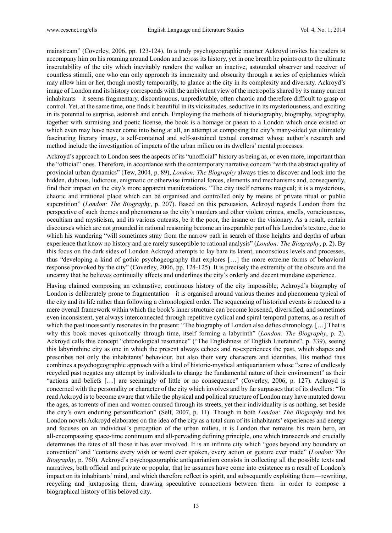mainstream" (Coverley, 2006, pp. 123-124). In a truly psychogeographic manner Ackroyd invites his readers to accompany him on his roaming around London and across its history, yet in one breath he points out to the ultimate inscrutability of the city which inevitably renders the walker an inactive, astounded observer and receiver of countless stimuli, one who can only approach its immensity and obscurity through a series of epiphanies which may allow him or her, though mostly temporarily, to glance at the city in its complexity and diversity. Ackroyd's image of London and its history corresponds with the ambivalent view of the metropolis shared by its many current inhabitants—it seems fragmentary, discontinuous, unpredictable, often chaotic and therefore difficult to grasp or control. Yet, at the same time, one finds it beautiful in its vicissitudes, seductive in its mysteriousness, and exciting in its potential to surprise, astonish and enrich. Employing the methods of historiography, biography, topography, together with surmising and poetic license, the book is a homage or paean to a London which once existed or which even may have never come into being at all, an attempt at composing the city's many-sided yet ultimately fascinating literary image, a self-contained and self-sustained textual construct whose author's research and method include the investigation of impacts of the urban milieu on its dwellers' mental processes.

Ackroyd's approach to London sees the aspects of its "unofficial" history as being as, or even more, important than the "official" ones. Therefore, in accordance with the contemporary narrative concern "with the abstract quality of provincial urban dynamics" (Tew, 2004, p. 89), *London: The Biography* always tries to discover and look into the hidden, dubious, ludicrous, enigmatic or otherwise irrational forces, elements and mechanisms and, consequently, find their impact on the city's more apparent manifestations. "The city itself remains magical; it is a mysterious, chaotic and irrational place which can be organised and controlled only by means of private ritual or public superstition" (*London: The Biography*, p. 207). Based on this persuasion, Ackroyd regards London from the perspective of such themes and phenomena as the city's murders and other violent crimes, smells, voraciousness, occultism and mysticism, and its various outcasts, be it the poor, the insane or the visionary. As a result, certain discourses which are not grounded in rational reasoning become an inseparable part of his London's texture, due to which his wandering "will sometimes stray from the narrow path in search of those heights and depths of urban experience that know no history and are rarely susceptible to rational analysis" (*London: The Biography*, p. 2). By this focus on the dark sides of London Ackroyd attempts to lay bare its latent, unconscious levels and processes, thus "developing a kind of gothic psychogeography that explores […] the more extreme forms of behavioral response provoked by the city" (Coverley, 2006, pp. 124-125). It is precisely the extremity of the obscure and the uncanny that he believes continually affects and underlines the city's orderly and decent mundane experience.

Having claimed composing an exhaustive, continuous history of the city impossible, Ackroyd's biography of London is deliberately prone to fragmentation—it is organised around various themes and phenomena typical of the city and its life rather than following a chronological order. The sequencing of historical events is reduced to a mere overall framework within which the book's inner structure can become loosened, diversified, and sometimes even inconsistent, yet always interconnected through repetitive cyclical and spiral temporal patterns, as a result of which the past incessantly resonates in the present: "The biography of London also defies chronology. [...] That is why this book moves quixotically through time, itself forming a labyrinth" (*London: The Biography*, p. 2). Ackroyd calls this concept "chronological resonance" ("The Englishness of English Literature", p. 339), seeing this labyrinthine city as one in which the present always echoes and re-experiences the past, which shapes and prescribes not only the inhabitants' behaviour, but also their very characters and identities. His method thus combines a psychogeographic approach with a kind of historic-mystical antiquarianism whose "sense of endlessly recycled past negates any attempt by individuals to change the fundamental nature of their environment" as their "actions and beliefs […] are seemingly of little or no consequence" (Coverley, 2006, p. 127). Ackroyd is concerned with the personality or character of the city which involves and by far surpasses that of its dwellers: "To read Ackroyd is to become aware that while the physical and political structure of London may have mutated down the ages, as torrents of men and women coursed through its streets, yet their individuality is as nothing, set beside the city's own enduring personification" (Self, 2007, p. 11). Though in both *London: The Biography* and his London novels Ackroyd elaborates on the idea of the city as a total sum of its inhabitants' experiences and energy and focuses on an individual's perception of the urban milieu, it is London that remains his main hero, an all-encompassing space-time continuum and all-pervading defining principle, one which transcends and crucially determines the fates of all those it has ever involved. It is an infinite city which "goes beyond any boundary or convention" and "contains every wish or word ever spoken, every action or gesture ever made" (*London: The Biography*, p. 760). Ackroyd's psychogeographic antiquarianism consists in collecting all the possible texts and narratives, both official and private or popular, that he assumes have come into existence as a result of London's impact on its inhabitants' mind, and which therefore reflect its spirit, and subsequently exploiting them—rewriting, recycling and juxtaposing them, drawing speculative connections between them—in order to compose a biographical history of his beloved city.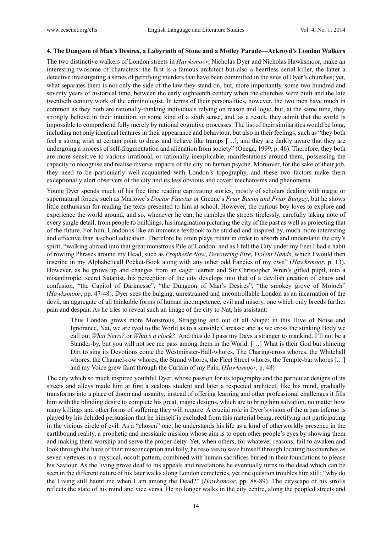#### **4. The Dungeon of Man's Desires, a Labyrinth of Stone and a Motley Parade—Ackroyd's London Walkers**

The two distinctive walkers of London streets in *Hawksmoor*, Nicholas Dyer and Nicholas Hawksmoor, make an interesting twosome of characters: the first is a famous architect but also a heartless serial killer, the latter a detective investigating a series of petrifying murders that have been committed in the sites of Dyer's churches; yet, what separates them is not only the side of the law they stand on, but, more importantly, some two hundred and seventy years of historical time, between the early eighteenth century when the churches were built and the late twentieth century work of the criminologist. In terms of their personalities, however, the two men have much in common as they both are rationally-thinking individuals relying on reason and logic, but, at the same time, they strongly believe in their intuition, or some kind of a sixth sense, and, as a result, they admit that the world is impossible to comprehend fully merely by rational cognitive processes. The list of their similarities would be long, including not only identical features in their appearance and behaviour, but also in their feelings, such as "they both feel a strong wish at certain point to dress and behave like tramps […], and they are darkly aware that they are undergoing a process of self-fragmentation and alienation from society" (Onega, 1999, p. 46). Therefore, they both are more sensitive to various irrational, or rationally inexplicable, manifestations around them, possessing the capacity to recognise and realise diverse impacts of the city on human psyche. Moreover, for the sake of their job, they need to be particularly well-acquainted with London's topography, and these two factors make them exceptionally alert observers of the city and its less obvious and covert mechanisms and phenomena.

Young Dyer spends much of his free time reading captivating stories, mostly of scholars dealing with magic or supernatural forces, such as Marlowe's *Doctor Faustus* or Greene's *Friar Bacon and Friar Bungay*, but he shows little enthusiasm for reading the texts presented to him at school. However, the curious boy loves to explore and experience the world around, and so, whenever he can, he rambles the streets tirelessly, carefully taking note of every single detail, from people to buildings, his imagination picturing the city of the past as well as projecting that of the future. For him, London is like an immense textbook to be studied and inspired by, much more interesting and effective than a school education. Therefore he often plays truant in order to absorb and understand the city's spirit, "walking abroad into that great monstrous Pile of London: and as I felt the City under my Feet I had a habit of rowling Phrases around my Head, such as *Prophesie Now*, *Devowring Fire*, *Violent Hands*, which I would then inscribe in my Alphabeticall Pocket-Book along with any other odd Fancies of my own" (*Hawksmoor*, p. 13). However, as he grows up and changes from an eager learner and Sir Christopher Wren's gifted pupil, into a misanthropic, secret Satanist, his perception of the city develops into that of a devilish creation of chaos and confusion, "the Capitol of Darknesse", "the Dungeon of Man's Desires", "the smokey grove of Moloch" (*Hawksmoor*, pp. 47-48). Dyer sees the bulging, unrestrained and uncontrollable London as an incarnation of the devil, an aggregate of all thinkable forms of human incompetence, evil and misery, one which only breeds further pain and despair. As he tries to reveal such an image of the city to Nat, his assistant:

Thus London grows more Monstrous, Straggling and out of all Shape: in this Hive of Noise and Ignorance, Nat, we are tyed to the World as to a sensible Carcasse and as we cross the stinking Body we call out *What News?* or *What's a clock?*. And thus do I pass my Days a stranger to mankind. I'll not be a Stander-by, but you will not see me pass among them in the World. […] What is their God but shineing Dirt to sing its Devotions come the Westminster-Hall-whores, The Charing-cross whores, the Whitehall whores, the Channel-row whores, the Strand whores, the Fleet Street whores, the Temple-bar whores [...] and my Voice grew faint through the Curtain of my Pain. (*Hawksmoor*, p. 48)

The city which so much inspired youthful Dyer, whose passion for its topography and the particular designs of its streets and alleys made him at first a zealous student and later a respected architect, like his mind, gradually transforms into a place of doom and insanity; instead of offering learning and other professional challenges it fills him with the blinding desire to complete his great, magic designs, which are to bring him salvation, no matter how many killings and other forms of suffering they will require. A crucial role in Dyer's vision of the urban inferno is played by his deluded persuasion that he himself is excluded from this material being, rectifying not participating in the vicious circle of evil. As a "chosen" one, he understands his life as a kind of otherworldly presence in the earthbound reality, a prophetic and messianic mission whose aim is to open other people's eyes by showing them and making them worship and serve the proper deity. Yet, when others, for whatever reasons, fail to awaken and look through the haze of their misconception and folly, he resolves to save himself through locating his churches as seven vertexes in a mystical, occult pattern, combined with human sacrifices buried in their foundations to please his Saviour. As the living prove deaf to his appeals and revelations he eventually turns to the dead which can be seen in the different nature of his later walks along London cemeteries, yet one question troubles him still: "why do the Living still haunt me when I am among the Dead?" (*Hawksmoor*, pp. 88-89). The cityscape of his strolls reflects the state of his mind and vice versa. He no longer walks in the city centre, along the peopled streets and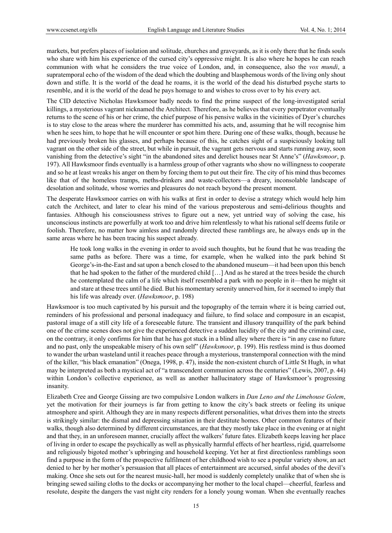markets, but prefers places of isolation and solitude, churches and graveyards, as it is only there that he finds souls who share with him his experience of the cursed city's oppressive might. It is also where he hopes he can reach communion with what he considers the true voice of London, and, in consequence, also the *vox mundi*, a supratemporal echo of the wisdom of the dead which the doubting and blasphemous words of the living only shout down and stifle. It is the world of the dead he roams, it is the world of the dead his disturbed psyche starts to resemble, and it is the world of the dead he pays homage to and wishes to cross over to by his every act.

The CID detective Nicholas Hawksmoor badly needs to find the prime suspect of the long-investigated serial killings, a mysterious vagrant nicknamed the Architect. Therefore, as he believes that every perpetrator eventually returns to the scene of his or her crime, the chief purpose of his pensive walks in the vicinities of Dyer's churches is to stay close to the areas where the murderer has committed his acts, and, assuming that he will recognise him when he sees him, to hope that he will encounter or spot him there. During one of these walks, though, because he had previously broken his glasses, and perhaps because of this, he catches sight of a suspiciously looking tall vagrant on the other side of the street, but while in pursuit, the vagrant gets nervous and starts running away, soon vanishing from the detective's sight "in the abandoned sites and derelict houses near St Anne's" (*Hawksmoor*, p. 197). All Hawksmoor finds eventually is a harmless group of other vagrants who show no willingness to cooperate and so he at least wreaks his anger on them by forcing them to put out their fire. The city of his mind thus becomes like that of the homeless tramps, meths-drinkers and waste-collectors—a dreary, inconsolable landscape of desolation and solitude, whose worries and pleasures do not reach beyond the present moment.

The desperate Hawksmoor carries on with his walks at first in order to devise a strategy which would help him catch the Architect, and later to clear his mind of the various preposterous and semi-delirious thoughts and fantasies. Although his consciousness strives to figure out a new, yet untried way of solving the case, his unconscious instincts are powerfully at work too and drive him relentlessly to what his rational self deems futile or foolish. Therefore, no matter how aimless and randomly directed these ramblings are, he always ends up in the same areas where he has been tracing his suspect already.

He took long walks in the evening in order to avoid such thoughts, but he found that he was treading the same paths as before. There was a time, for example, when he walked into the park behind St George's-in-the-East and sat upon a bench closed to the abandoned museum—it had been upon this bench that he had spoken to the father of the murdered child […] And as he stared at the trees beside the church he contemplated the calm of a life which itself resembled a park with no people in it—then he might sit and stare at these trees until he died. But his momentary serenity unnerved him, for it seemed to imply that his life was already over. (*Hawksmoor*, p. 198)

Hawksmoor is too much captivated by his pursuit and the topography of the terrain where it is being carried out, reminders of his professional and personal inadequacy and failure, to find solace and composure in an escapist, pastoral image of a still city life of a foreseeable future. The transient and illusory tranquillity of the park behind one of the crime scenes does not give the experienced detective a sudden lucidity of the city and the criminal case, on the contrary, it only confirms for him that he has got stuck in a blind alley where there is "in any case no future and no past, only the unspeakable misery of his own self" (*Hawksmoor*, p. 199). His restless mind is thus doomed to wander the urban wasteland until it reaches peace through a mysterious, transtemporal connection with the mind of the killer, "his black emanation" (Onega, 1998, p. 47), inside the non-existent church of Little St Hugh, in what may be interpreted as both a mystical act of "a transcendent communion across the centuries" (Lewis, 2007, p. 44) within London's collective experience, as well as another hallucinatory stage of Hawksmoor's progressing insanity.

Elizabeth Cree and George Gissing are two compulsive London walkers in *Dan Leno and the Limehouse Golem*, yet the motivation for their journeys is far from getting to know the city's back streets or feeling its unique atmosphere and spirit. Although they are in many respects different personalities, what drives them into the streets is strikingly similar: the dismal and depressing situation in their destitute homes. Other common features of their walks, though also determined by different circumstances, are that they mostly take place in the evening or at night and that they, in an unforeseen manner, crucially affect the walkers' future fates. Elizabeth keeps leaving her place of living in order to escape the psychically as well as physically harmful effects of her heartless, rigid, quarrelsome and religiously bigoted mother's upbringing and household keeping. Yet her at first directionless ramblings soon find a purpose in the form of the prospective fulfilment of her childhood wish to see a popular variety show, an act denied to her by her mother's persuasion that all places of entertainment are accursed, sinful abodes of the devil's making. Once she sets out for the nearest music-hall, her mood is suddenly completely unalike that of when she is bringing sewed sailing cloths to the docks or accompanying her mother to the local chapel—cheerful, fearless and resolute, despite the dangers the vast night city renders for a lonely young woman. When she eventually reaches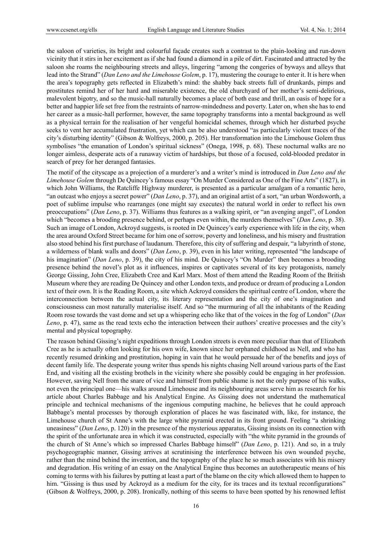the saloon of varieties, its bright and colourful façade creates such a contrast to the plain-looking and run-down vicinity that it stirs in her excitement as if she had found a diamond in a pile of dirt. Fascinated and attracted by the saloon she roams the neighbouring streets and alleys, lingering "among the congeries of byways and alleys that lead into the Strand" (*Dan Leno and the Limehouse Golem*, p. 17), mustering the courage to enter it. It is here when the area's topography gets reflected in Elizabeth's mind: the shabby back streets full of drunkards, pimps and prostitutes remind her of her hard and miserable existence, the old churchyard of her mother's semi-delirious, malevolent bigotry, and so the music-hall naturally becomes a place of both ease and thrill, an oasis of hope for a better and happier life set free from the restraints of narrow-mindedness and poverty. Later on, when she has to end her career as a music-hall performer, however, the same topography transforms into a mental background as well as a physical terrain for the realisation of her vengeful homicidal schemes, through which her disturbed psyche seeks to vent her accumulated frustration, yet which can be also understood "as particularly violent traces of the city's disturbing identity" (Gibson Wolfreys, 2000, p. 205). Her transformation into the Limehouse Golem thus symbolises "the emanation of London's spiritual sickness" (Onega, 1998, p. 68). These nocturnal walks are no longer aimless, desperate acts of a runaway victim of hardships, but those of a focused, cold-blooded predator in search of prey for her deranged fantasies.

The motif of the cityscape as a projection of a murderer's and a writer's mind is introduced in *Dan Leno and the Limehouse Golem* through De Quincey's famous essay "On Murder Considered as One of the Fine Arts" (1827), in which John Williams, the Ratcliffe Highway murderer, is presented as a particular amalgam of a romantic hero, "an outcast who enjoys a secret power" (*Dan Leno*, p. 37), and an original artist of a sort, "an urban Wordsworth, a poet of sublime impulse who rearranges (one might say executes) the natural world in order to reflect his own preoccupations" (*Dan Leno*, p. 37). Williams thus features as a walking spirit, or "an avenging angel", of London which "becomes a brooding presence behind, or perhaps even within, the murders themselves" (*Dan Leno*, p. 38). Such an image of London, Ackroyd suggests, is rooted in De Quincey's early experience with life in the city, when the area around Oxford Street became for him one of sorrow, poverty and loneliness, and his misery and frustration also stood behind his first purchase of laudanum. Therefore, this city of suffering and despair, "a labyrinth of stone, a wilderness of blank walls and doors" (*Dan Leno*, p. 39), even in his later writing, represented "the landscape of his imagination" (*Dan Leno*, p. 39), the city of his mind. De Quincey's "On Murder" then becomes a brooding presence behind the novel's plot as it influences, inspires or captivates several of its key protagonists, namely George Gissing, John Cree, Elizabeth Cree and Karl Marx. Most of them attend the Reading Room of the British Museum where they are reading De Quincey and other London texts, and produce or dream of producing a London text of their own. It is the Reading Room, a site which Ackroyd considers the spiritual centre of London, where the interconnection between the actual city, its literary representation and the city of one's imagination and consciousness can most naturally materialise itself. And so "the murmuring of all the inhabitants of the Reading Room rose towards the vast dome and set up a whispering echo like that of the voices in the fog of London" (*Dan Leno*, p. 47), same as the read texts echo the interaction between their authors' creative processes and the city's mental and physical topography.

The reason behind Gissing's night expeditions through London streets is even more peculiar than that of Elizabeth Cree as he is actually often looking for his own wife, known since her orphaned childhood as Nell, and who has recently resumed drinking and prostitution, hoping in vain that he would persuade her of the benefits and joys of decent family life. The desperate young writer thus spends his nights chasing Nell around various parts of the East End, and visiting all the existing brothels in the vicinity where she possibly could be engaging in her profession. However, saving Nell from the snare of vice and himself from public shame is not the only purpose of his walks, not even the principal one—his walks around Limehouse and its neighbouring areas serve him as research for his article about Charles Babbage and his Analytical Engine. As Gissing does not understand the mathematical principle and technical mechanisms of the ingenious computing machine, he believes that he could approach Babbage's mental processes by thorough exploration of places he was fascinated with, like, for instance, the Limehouse church of St Anne's with the large white pyramid erected in its front ground. Feeling "a shrinking uneasiness" (*Dan Leno*, p. 120) in the presence of the mysterious apparatus, Gissing insists on its connection with the spirit of the unfortunate area in which it was constructed, especially with "the white pyramid in the grounds of the church of St Anne's which so impressed Charles Babbage himself" (*Dan Leno*, p. 121). And so, in a truly psychogeographic manner, Gissing arrives at scrutinising the interference between his own wounded psyche, rather than the mind behind the invention, and the topography of the place he so much associates with his misery and degradation. His writing of an essay on the Analytical Engine thus becomes an autotherapeutic means of his coming to terms with his failures by putting at least a part of the blame on the city which allowed them to happen to him. "Gissing is thus used by Ackroyd as a medium for the city, for its traces and its textual reconfigurations" (Gibson & Wolfreys, 2000, p. 208). Ironically, nothing of this seems to have been spotted by his renowned leftist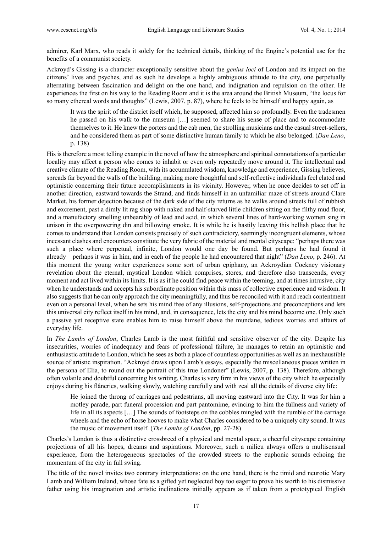admirer, Karl Marx, who reads it solely for the technical details, thinking of the Engine's potential use for the benefits of a communist society.

Ackroyd's Gissing is a character exceptionally sensitive about the *genius loci* of London and its impact on the citizens' lives and psyches, and as such he develops a highly ambiguous attitude to the city, one perpetually alternating between fascination and delight on the one hand, and indignation and repulsion on the other. He experiences the first on his way to the Reading Room and it is the area around the British Museum, "the locus for so many ethereal words and thoughts" (Lewis, 2007, p. 87), where he feels to be himself and happy again, as

It was the spirit of the district itself which, he supposed, affected him so profoundly. Even the tradesmen he passed on his walk to the museum […] seemed to share his sense of place and to accommodate themselves to it. He knew the porters and the cab men, the strolling musicians and the casual street-sellers, and he considered them as part of some distinctive human family to which he also belonged. (*Dan Leno*, p. 138)

His is therefore a most telling example in the novel of how the atmosphere and spiritual connotations of a particular locality may affect a person who comes to inhabit or even only repeatedly move around it. The intellectual and creative climate of the Reading Room, with its accumulated wisdom, knowledge and experience, Gissing believes, spreads far beyond the walls of the building, making more thoughtful and self-reflective individuals feel elated and optimistic concerning their future accomplishments in its vicinity. However, when he once decides to set off in another direction, eastward towards the Strand, and finds himself in an unfamiliar maze of streets around Clare Market, his former dejection because of the dark side of the city returns as he walks around streets full of rubbish and excrement, past a dimly lit rag shop with naked and half-starved little children sitting on the filthy mud floor, and a manufactory smelling unbearably of lead and acid, in which several lines of hard-working women sing in unison in the overpowering din and billowing smoke. It is while he is hastily leaving this hellish place that he comes to understand that London consists precisely of such contradictory, seemingly incongruent elements, whose incessant clashes and encounters constitute the very fabric of the material and mental cityscape: "perhaps there was such a place where perpetual, infinite, London would one day be found. But perhaps he had found it already—perhaps it was in him, and in each of the people he had encountered that night" (*Dan Leno*, p. 246). At this moment the young writer experiences some sort of urban epiphany, an Ackroydian Cockney visionary revelation about the eternal, mystical London which comprises, stores, and therefore also transcends, every moment and act lived within its limits. It is as if he could find peace within the teeming, and at times intrusive, city when he understands and accepts his subordinate position within this mass of collective experience and wisdom. It also suggests that he can only approach the city meaningfully, and thus be reconciled with it and reach contentment even on a personal level, when he sets his mind free of any illusions, self-projections and preconceptions and lets this universal city reflect itself in his mind, and, in consequence, lets the city and his mind become one. Only such a passive yet receptive state enables him to raise himself above the mundane, tedious worries and affairs of everyday life.

In *The Lambs of London*, Charles Lamb is the most faithful and sensitive observer of the city. Despite his insecurities, worries of inadequacy and fears of professional failure, he manages to retain an optimistic and enthusiastic attitude to London, which he sees as both a place of countless opportunities as well as an inexhaustible source of artistic inspiration. "Ackroyd draws upon Lamb's essays, especially the miscellaneous pieces written in the persona of Elia, to round out the portrait of this true Londoner" (Lewis, 2007, p. 138). Therefore, although often volatile and doubtful concerning his writing, Charles is very firm in his views of the city which he especially enjoys during his flâneries, walking slowly, watching carefully and with zeal all the details of diverse city life:

He joined the throng of carriages and pedestrians, all moving eastward into the City. It was for him a motley parade, part funeral procession and part pantomime, evincing to him the fullness and variety of life in all its aspects […] The sounds of footsteps on the cobbles mingled with the rumble of the carriage wheels and the echo of horse hooves to make what Charles considered to be a uniquely city sound. It was the music of movement itself. (*The Lambs of London*, pp. 27-28)

Charles's London is thus a distinctive crossbreed of a physical and mental space, a cheerful cityscape containing projections of all his hopes, dreams and aspirations. Moreover, such a milieu always offers a multisensual experience, from the heterogeneous spectacles of the crowded streets to the euphonic sounds echoing the momentum of the city in full swing.

The title of the novel invites two contrary interpretations: on the one hand, there is the timid and neurotic Mary Lamb and William Ireland, whose fate as a gifted yet neglected boy too eager to prove his worth to his dismissive father using his imagination and artistic inclinations initially appears as if taken from a prototypical English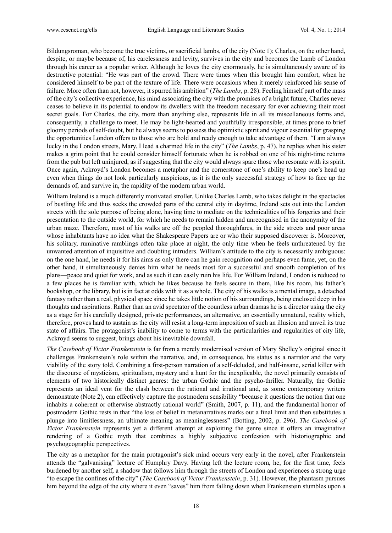Bildungsroman, who become the true victims, or sacrificial lambs, of the city (Note 1); Charles, on the other hand, despite, or maybe because of, his carelessness and levity, survives in the city and becomes the Lamb of London through his career as a popular writer. Although he loves the city enormously, he is simultaneously aware of its destructive potential: "He was part of the crowd. There were times when this brought him comfort, when he considered himself to be part of the texture of life. There were occasions when it merely reinforced his sense of failure. More often than not, however, it spurred his ambition" (*The Lambs*, p. 28). Feeling himself part of the mass of the city's collective experience, his mind associating the city with the promises of a bright future, Charles never ceases to believe in its potential to endow its dwellers with the freedom necessary for ever achieving their most secret goals. For Charles, the city, more than anything else, represents life in all its miscellaneous forms and, consequently, a challenge to meet. He may be light-hearted and youthfully irresponsible, at times prone to brief gloomy periods of self-doubt, but he always seems to possess the optimistic spirit and vigour essential for grasping the opportunities London offers to those who are bold and ready enough to take advantage of them. "I am always lucky in the London streets, Mary. I lead a charmed life in the city" (*The Lambs*, p. 47), he replies when his sister makes a grim point that he could consider himself fortunate when he is robbed on one of his night-time returns from the pub but left uninjured, as if suggesting that the city would always spare those who resonate with its spirit. Once again, Ackroyd's London becomes a metaphor and the cornerstone of one's ability to keep one's head up even when things do not look particularly auspicious, as it is the only successful strategy of how to face up the demands of, and survive in, the rapidity of the modern urban world.

William Ireland is a much differently motivated stroller. Unlike Charles Lamb, who takes delight in the spectacles of bustling life and thus seeks the crowded parts of the central city in daytime, Ireland sets out into the London streets with the sole purpose of being alone, having time to mediate on the technicalities of his forgeries and their presentation to the outside world, for which he needs to remain hidden and unrecognised in the anonymity of the urban maze. Therefore, most of his walks are off the peopled thoroughfares, in the side streets and poor areas whose inhabitants have no idea what the Shakespeare Papers are or who their supposed discoverer is. Moreover, his solitary, ruminative ramblings often take place at night, the only time when he feels unthreatened by the unwanted attention of inquisitive and doubting intruders. William's attitude to the city is necessarily ambiguous: on the one hand, he needs it for his aims as only there can he gain recognition and perhaps even fame, yet, on the other hand, it simultaneously denies him what he needs most for a successful and smooth completion of his plans—peace and quiet for work, and as such it can easily ruin his life. For William Ireland, London is reduced to a few places he is familiar with, which he likes because he feels secure in them, like his room, his father's bookshop, or the library, but is in fact at odds with it as a whole. The city of his walks is a mental image, a detached fantasy rather than a real, physical space since he takes little notion of his surroundings, being enclosed deep in his thoughts and aspirations. Rather than an avid spectator of the countless urban dramas he is a director using the city as a stage for his carefully designed, private performances, an alternative, an essentially unnatural, reality which, therefore, proves hard to sustain as the city will resist a long-term imposition of such an illusion and unveil its true state of affairs. The protagonist's inability to come to terms with the particularities and regularities of city life, Ackroyd seems to suggest, brings about his inevitable downfall.

*The Casebook of Victor Frankenstein* is far from a merely modernised version of Mary Shelley's original since it challenges Frankenstein's role within the narrative, and, in consequence, his status as a narrator and the very viability of the story told. Combining a first-person narration of a self-deluded, and half-insane, serial killer with the discourse of mysticism, spiritualism, mystery and a hunt for the inexplicable, the novel primarily consists of elements of two historically distinct genres: the urban Gothic and the psycho-thriller. Naturally, the Gothic represents an ideal vent for the clash between the rational and irrational and, as some contemporary writers demonstrate (Note 2), can effectively capture the postmodern sensibility "because it questions the notion that one inhabits a coherent or otherwise abstractly rational world" (Smith, 2007, p. 11), and the fundamental horror of postmodern Gothic rests in that "the loss of belief in metanarratives marks out a final limit and then substitutes a plunge into limitlessness, an ultimate meaning as meaninglessness" (Botting, 2002, p. 296). *The Casebook of Victor Frankenstein* represents yet a different attempt at exploiting the genre since it offers an imaginative rendering of a Gothic myth that combines a highly subjective confession with historiographic and psychogeographic perspectives.

The city as a metaphor for the main protagonist's sick mind occurs very early in the novel, after Frankenstein attends the "galvanising" lecture of Humphry Davy. Having left the lecture room, he, for the first time, feels burdened by another self, a shadow that follows him through the streets of London and experiences a strong urge "to escape the confines of the city" (*The Casebook of Victor Frankenstein*, p. 31). However, the phantasm pursues him beyond the edge of the city where it even "saves" him from falling down when Frankenstein stumbles upon a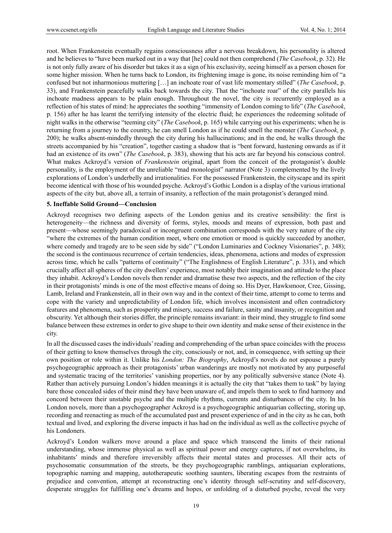root. When Frankenstein eventually regains consciousness after a nervous breakdown, his personality is altered and he believes to "have been marked out in a way that [he] could not then comprehend (*The Casebook*, p. 32). He is not only fully aware of his disorder but takes it as a sign of his exclusivity, seeing himself as a person chosen for some higher mission. When he turns back to London, its frightening image is gone, its noise reminding him of "a confused but not inharmonious muttering […] an inchoate roar of vast life momentary stilled" (*The Casebook*, p. 33), and Frankenstein peacefully walks back towards the city. That the "inchoate roar" of the city parallels his inchoate madness appears to be plain enough. Throughout the novel, the city is recurrently employed as a reflection of his states of mind: he appreciates the soothing "immensity of London coming to life" (*The Casebook*, p. 156) after he has learnt the terrifying intensity of the electric fluid; he experiences the redeeming solitude of night walks in the otherwise "teeming city" (*The Casebook*, p. 165) while carrying out his experiments; when he is returning from a journey to the country, he can smell London as if he could smell the monster (*The Casebook*, p. 200); he walks absent-mindedly through the city during his hallucinations; and in the end, he walks through the streets accompanied by his "creation", together casting a shadow that is "bent forward, hastening onwards as if it had an existence of its own" (*The Casebook*, p. 383), showing that his acts are far beyond his conscious control. What makes Ackroyd's version of *Frankenstein* original, apart from the conceit of the protagonist's double personality, is the employment of the unreliable "mad monologist" narrator (Note 3) complemented by the lively explorations of London's underbelly and irrationalities. For the possessed Frankenstein, the cityscape and its spirit become identical with those of his wounded psyche. Ackroyd's Gothic London is a display of the various irrational aspects of the city but, above all, a terrain of insanity, a reflection of the main protagonist's deranged mind.

#### **5. Ineffable Solid Ground—Conclusion**

Ackroyd recognises two defining aspects of the London genius and its creative sensibility: the first is heterogeneity—the richness and diversity of forms, styles, moods and means of expression, both past and present—whose seemingly paradoxical or incongruent combination corresponds with the very nature of the city "where the extremes of the human condition meet, where one emotion or mood is quickly succeeded by another, where comedy and tragedy are to be seen side by side" ("London Luminaries and Cockney Visionaries", p. 348); the second is the continuous recurrence of certain tendencies, ideas, phenomena, actions and modes of expression across time, which he calls "patterns of continuity" ("The Englishness of English Literature", p. 331), and which crucially affect all spheres of the city dwellers' experience, most notably their imagination and attitude to the place they inhabit. Ackroyd's London novels then render and dramatise these two aspects, and the reflection of the city in their protagonists' minds is one of the most effective means of doing so. His Dyer, Hawksmoor, Cree, Gissing, Lamb, Ireland and Frankenstein, all in their own way and in the context of their time, attempt to come to terms and cope with the variety and unpredictability of London life, which involves inconsistent and often contradictory features and phenomena, such as prosperity and misery, success and failure, sanity and insanity, or recognition and obscurity. Yet although their stories differ, the principle remains invariant: in their mind, they struggle to find some balance between these extremes in order to give shape to their own identity and make sense of their existence in the city.

In all the discussed cases the individuals' reading and comprehending of the urban space coincides with the process of their getting to know themselves through the city, consciously or not, and, in consequence, with setting up their own position or role within it. Unlike his *London: The Biography*, Ackroyd's novels do not espouse a purely psychogeographic approach as their protagonists' urban wanderings are mostly not motivated by any purposeful and systematic tracing of the territories' vanishing properties, nor by any politically subversive stance (Note 4). Rather than actively pursuing London's hidden meanings it is actually the city that "takes them to task" by laying bare those concealed sides of their mind they have been unaware of, and impels them to seek to find harmony and concord between their unstable psyche and the multiple rhythms, currents and disturbances of the city. In his London novels, more than a psychogeographer Ackroyd is a psychogeographic antiquarian collecting, storing up, recording and reenacting as much of the accumulated past and present experience of and in the city as he can, both textual and lived, and exploring the diverse impacts it has had on the individual as well as the collective psyche of his Londoners.

Ackroyd's London walkers move around a place and space which transcend the limits of their rational understanding, whose immense physical as well as spiritual power and energy captures, if not overwhelms, its inhabitants' minds and therefore irreversibly affects their mental states and processes. All their acts of psychosomatic consummation of the streets, be they psychogeographic ramblings, antiquarian explorations, topographic naming and mapping, autotherapeutic soothing saunters, liberating escapes from the restraints of prejudice and convention, attempt at reconstructing one's identity through self-scrutiny and self-discovery, desperate struggles for fulfilling one's dreams and hopes, or unfolding of a disturbed psyche, reveal the very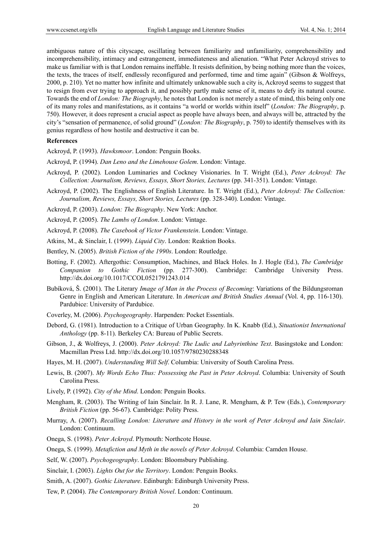ambiguous nature of this cityscape, oscillating between familiarity and unfamiliarity, comprehensibility and incomprehensibility, intimacy and estrangement, immediateness and alienation. "What Peter Ackroyd strives to make us familiar with is that London remains ineffable. It resists definition, by being nothing more than the voices, the texts, the traces of itself, endlessly reconfigured and performed, time and time again" (Gibson & Wolfreys, 2000, p. 210). Yet no matter how infinite and ultimately unknowable such a city is, Ackroyd seems to suggest that to resign from ever trying to approach it, and possibly partly make sense of it, means to defy its natural course. Towards the end of *London: The Biography*, he notes that London is not merely a state of mind, this being only one of its many roles and manifestations, as it contains "a world or worlds within itself" (*London: The Biography*, p. 750). However, it does represent a crucial aspect as people have always been, and always will be, attracted by the city's "sensation of permanence, of solid ground" (*London: The Biography*, p. 750) to identify themselves with its genius regardless of how hostile and destructive it can be.

### **References**

Ackroyd, P. (1993). *Hawksmoor*. London: Penguin Books.

- Ackroyd, P. (1994). *Dan Leno and the Limehouse Golem*. London: Vintage.
- Ackroyd, P. (2002). London Luminaries and Cockney Visionaries. In T. Wright (Ed.), *Peter Ackroyd: The Collection: Journalism, Reviews, Essays, Short Stories, Lectures* (pp. 341-351). London: Vintage.
- Ackroyd, P. (2002). The Englishness of English Literature. In T. Wright (Ed.), *Peter Ackroyd: The Collection: Journalism, Reviews, Essays, Short Stories, Lectures* (pp. 328-340). London: Vintage.
- Ackroyd, P. (2003). *London: The Biography*. New York: Anchor.
- Ackroyd, P. (2005). *The Lambs of London*. London: Vintage.
- Ackroyd, P. (2008). *The Casebook of Victor Frankenstein*. London: Vintage.
- Atkins, M., & Sinclair, I. (1999). *Liquid City*. London: Reaktion Books.
- Bentley, N. (2005). *British Fiction of the 1990s*. London: Routledge.
- Botting, F. (2002). Aftergothic: Consumption, Machines, and Black Holes. In J. Hogle (Ed.), *The Cambridge Companion to Gothic Fiction* (pp. 277-300). Cambridge: Cambridge University Press. http://dx.doi.org/10.1017/CCOL0521791243.014
- Bubíková, Š. (2001). The Literary *Image of Man in the Process of Becoming*: Variations of the Bildungsroman Genre in English and American Literature. In *American and British Studies Annual* (Vol. 4, pp. 116-130). Pardubice: University of Pardubice.
- Coverley, M. (2006). *Psychogeography*. Harpenden: Pocket Essentials.
- Debord, G. (1981). Introduction to a Critique of Urban Geography. In K. Knabb (Ed.), *Situationist International Anthology* (pp. 8-11). Berkeley CA: Bureau of Public Secrets.
- Gibson, J., Wolfreys, J. (2000). *Peter Ackroyd: The Ludic and Labyrinthine Text*. Basingstoke and London: Macmillan Press Ltd. http://dx.doi.org/10.1057/9780230288348
- Hayes, M. H. (2007). *Understanding Will Self*. Columbia: University of South Carolina Press.
- Lewis, B. (2007). *My Words Echo Thus: Possessing the Past in Peter Ackroyd*. Columbia: University of South Carolina Press.
- Lively, P. (1992). *City of the Mind*. London: Penguin Books.
- Mengham, R. (2003). The Writing of Iain Sinclair. In R. J. Lane, R. Mengham, & P. Tew (Eds.), *Contemporary British Fiction* (pp. 56-67). Cambridge: Polity Press.
- Murray, A. (2007). *Recalling London: Literature and History in the work of Peter Ackroyd and Iain Sinclair*. London: Continuum.
- Onega, S. (1998). *Peter Ackroyd*. Plymouth: Northcote House.
- Onega, S. (1999). *Metafiction and Myth in the novels of Peter Ackroyd*. Columbia: Camden House.
- Self, W. (2007). *Psychogeography*. London: Bloomsbury Publishing.
- Sinclair, I. (2003). *Lights Out for the Territory*. London: Penguin Books.
- Smith, A. (2007). *Gothic Literature*. Edinburgh: Edinburgh University Press.
- Tew, P. (2004). *The Contemporary British Novel*. London: Continuum.